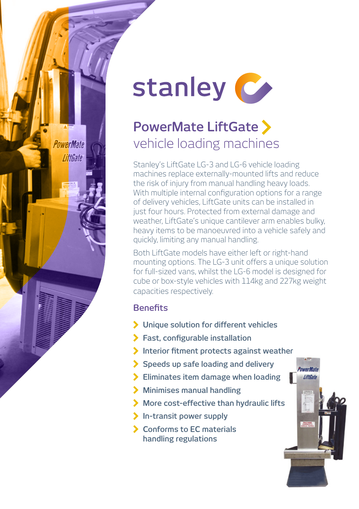

## vehicle loading machines **PowerMate LiftGate**

Stanley's LiftGate LG-3 and LG-6 vehicle loading machines replace externally-mounted lifts and reduce the risk of injury from manual handling heavy loads. With multiple internal configuration options for a range of delivery vehicles, LiftGate units can be installed in just four hours. Protected from external damage and weather, LiftGate's unique cantilever arm enables bulky, heavy items to be manoeuvred into a vehicle safely and quickly, limiting any manual handling.

Both LiftGate models have either left or right-hand mounting options. The LG-3 unit offers a unique solution for full-sized vans, whilst the LG-6 model is designed for cube or box-style vehicles with 114kg and 227kg weight capacities respectively.

**LiftCat** 

## **Benefits**

*PowerMate* **LiftGate** 

- **Unique solution for different vehicles**
- **Fast, configurable installation**
- **Interior fitment protects against weather**
- **Speeds up safe loading and delivery**
- **Eliminates item damage when loading**
- **Minimises manual handling**
- **More cost-effective than hydraulic lifts**
- **In-transit power supply**
- **Conforms to EC materials handling regulations**